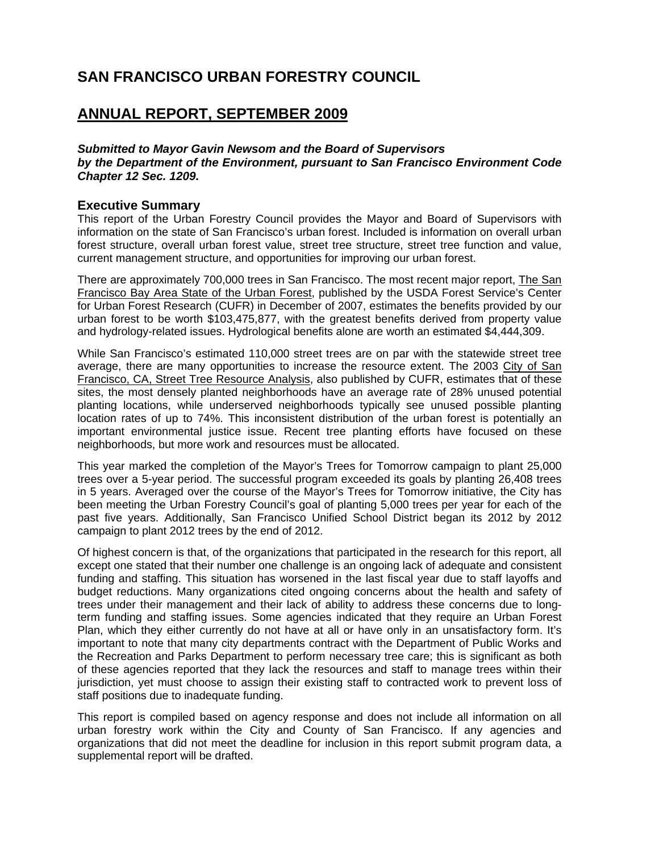## **SAN FRANCISCO URBAN FORESTRY COUNCIL**

## **ANNUAL REPORT, SEPTEMBER 2009**

*Submitted to Mayor Gavin Newsom and the Board of Supervisors by the Department of the Environment, pursuant to San Francisco Environment Code Chapter 12 Sec. 1209.* 

## **Executive Summary**

This report of the Urban Forestry Council provides the Mayor and Board of Supervisors with information on the state of San Francisco's urban forest. Included is information on overall urban forest structure, overall urban forest value, street tree structure, street tree function and value, current management structure, and opportunities for improving our urban forest.

There are approximately 700,000 trees in San Francisco. The most recent major report, The San Francisco Bay Area State of the Urban Forest, published by the USDA Forest Service's Center for Urban Forest Research (CUFR) in December of 2007, estimates the benefits provided by our urban forest to be worth \$103,475,877, with the greatest benefits derived from property value and hydrology-related issues. Hydrological benefits alone are worth an estimated \$4,444,309.

While San Francisco's estimated 110,000 street trees are on par with the statewide street tree average, there are many opportunities to increase the resource extent. The 2003 City of San Francisco, CA, Street Tree Resource Analysis, also published by CUFR, estimates that of these sites, the most densely planted neighborhoods have an average rate of 28% unused potential planting locations, while underserved neighborhoods typically see unused possible planting location rates of up to 74%. This inconsistent distribution of the urban forest is potentially an important environmental justice issue. Recent tree planting efforts have focused on these neighborhoods, but more work and resources must be allocated.

This year marked the completion of the Mayor's Trees for Tomorrow campaign to plant 25,000 trees over a 5-year period. The successful program exceeded its goals by planting 26,408 trees in 5 years. Averaged over the course of the Mayor's Trees for Tomorrow initiative, the City has been meeting the Urban Forestry Council's goal of planting 5,000 trees per year for each of the past five years. Additionally, San Francisco Unified School District began its 2012 by 2012 campaign to plant 2012 trees by the end of 2012.

Of highest concern is that, of the organizations that participated in the research for this report, all except one stated that their number one challenge is an ongoing lack of adequate and consistent funding and staffing. This situation has worsened in the last fiscal year due to staff layoffs and budget reductions. Many organizations cited ongoing concerns about the health and safety of trees under their management and their lack of ability to address these concerns due to longterm funding and staffing issues. Some agencies indicated that they require an Urban Forest Plan, which they either currently do not have at all or have only in an unsatisfactory form. It's important to note that many city departments contract with the Department of Public Works and the Recreation and Parks Department to perform necessary tree care; this is significant as both of these agencies reported that they lack the resources and staff to manage trees within their jurisdiction, yet must choose to assign their existing staff to contracted work to prevent loss of staff positions due to inadequate funding.

This report is compiled based on agency response and does not include all information on all urban forestry work within the City and County of San Francisco. If any agencies and organizations that did not meet the deadline for inclusion in this report submit program data, a supplemental report will be drafted.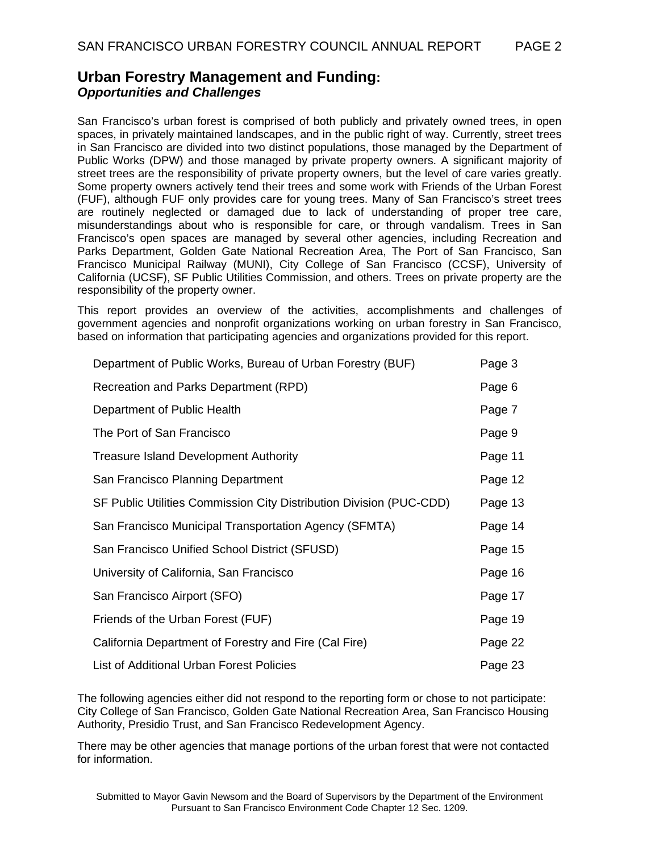## **Urban Forestry Management and Funding:**  *Opportunities and Challenges*

San Francisco's urban forest is comprised of both publicly and privately owned trees, in open spaces, in privately maintained landscapes, and in the public right of way. Currently, street trees in San Francisco are divided into two distinct populations, those managed by the Department of Public Works (DPW) and those managed by private property owners. A significant majority of street trees are the responsibility of private property owners, but the level of care varies greatly. Some property owners actively tend their trees and some work with Friends of the Urban Forest (FUF), although FUF only provides care for young trees. Many of San Francisco's street trees are routinely neglected or damaged due to lack of understanding of proper tree care, misunderstandings about who is responsible for care, or through vandalism. Trees in San Francisco's open spaces are managed by several other agencies, including Recreation and Parks Department, Golden Gate National Recreation Area, The Port of San Francisco, San Francisco Municipal Railway (MUNI), City College of San Francisco (CCSF), University of California (UCSF), SF Public Utilities Commission, and others. Trees on private property are the responsibility of the property owner.

This report provides an overview of the activities, accomplishments and challenges of government agencies and nonprofit organizations working on urban forestry in San Francisco, based on information that participating agencies and organizations provided for this report.

| Department of Public Works, Bureau of Urban Forestry (BUF)          | Page 3  |
|---------------------------------------------------------------------|---------|
| Recreation and Parks Department (RPD)                               | Page 6  |
| Department of Public Health                                         | Page 7  |
| The Port of San Francisco                                           | Page 9  |
| <b>Treasure Island Development Authority</b>                        | Page 11 |
| San Francisco Planning Department                                   | Page 12 |
| SF Public Utilities Commission City Distribution Division (PUC-CDD) | Page 13 |
| San Francisco Municipal Transportation Agency (SFMTA)               | Page 14 |
| San Francisco Unified School District (SFUSD)                       | Page 15 |
| University of California, San Francisco                             | Page 16 |
| San Francisco Airport (SFO)                                         | Page 17 |
| Friends of the Urban Forest (FUF)                                   | Page 19 |
| California Department of Forestry and Fire (Cal Fire)               | Page 22 |
| List of Additional Urban Forest Policies                            | Page 23 |

The following agencies either did not respond to the reporting form or chose to not participate: City College of San Francisco, Golden Gate National Recreation Area, San Francisco Housing Authority, Presidio Trust, and San Francisco Redevelopment Agency.

There may be other agencies that manage portions of the urban forest that were not contacted for information.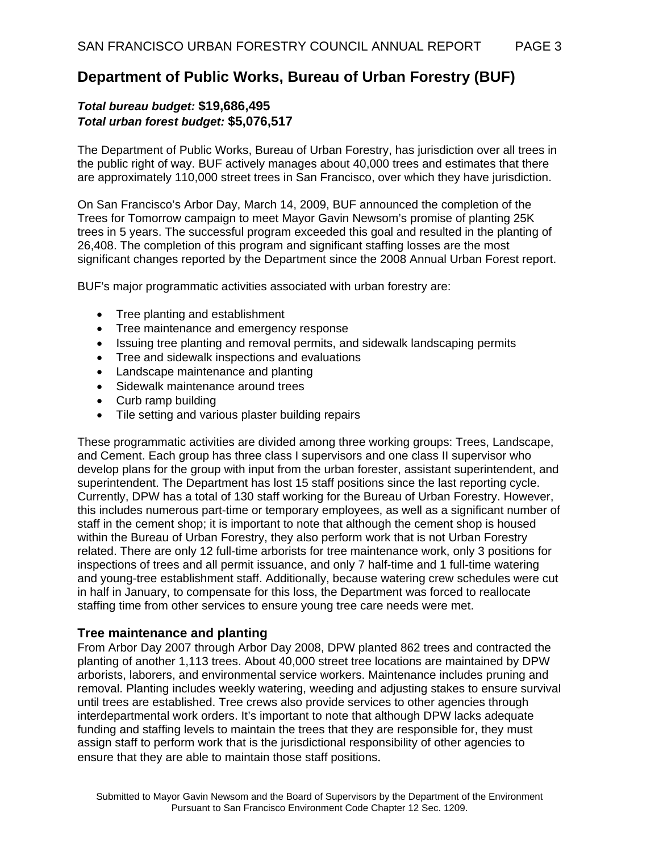## **Department of Public Works, Bureau of Urban Forestry (BUF)**

## *Total bureau budget:* **\$19,686,495** *Total urban forest budget:* **\$5,076,517**

The Department of Public Works, Bureau of Urban Forestry, has jurisdiction over all trees in the public right of way. BUF actively manages about 40,000 trees and estimates that there are approximately 110,000 street trees in San Francisco, over which they have jurisdiction.

On San Francisco's Arbor Day, March 14, 2009, BUF announced the completion of the Trees for Tomorrow campaign to meet Mayor Gavin Newsom's promise of planting 25K trees in 5 years. The successful program exceeded this goal and resulted in the planting of 26,408. The completion of this program and significant staffing losses are the most significant changes reported by the Department since the 2008 Annual Urban Forest report.

BUF's major programmatic activities associated with urban forestry are:

- Tree planting and establishment
- Tree maintenance and emergency response
- Issuing tree planting and removal permits, and sidewalk landscaping permits
- Tree and sidewalk inspections and evaluations
- Landscape maintenance and planting
- Sidewalk maintenance around trees
- Curb ramp building
- Tile setting and various plaster building repairs

These programmatic activities are divided among three working groups: Trees, Landscape, and Cement. Each group has three class I supervisors and one class II supervisor who develop plans for the group with input from the urban forester, assistant superintendent, and superintendent. The Department has lost 15 staff positions since the last reporting cycle. Currently, DPW has a total of 130 staff working for the Bureau of Urban Forestry. However, this includes numerous part-time or temporary employees, as well as a significant number of staff in the cement shop; it is important to note that although the cement shop is housed within the Bureau of Urban Forestry, they also perform work that is not Urban Forestry related. There are only 12 full-time arborists for tree maintenance work, only 3 positions for inspections of trees and all permit issuance, and only 7 half-time and 1 full-time watering and young-tree establishment staff. Additionally, because watering crew schedules were cut in half in January, to compensate for this loss, the Department was forced to reallocate staffing time from other services to ensure young tree care needs were met.

## **Tree maintenance and planting**

From Arbor Day 2007 through Arbor Day 2008, DPW planted 862 trees and contracted the planting of another 1,113 trees. About 40,000 street tree locations are maintained by DPW arborists, laborers, and environmental service workers. Maintenance includes pruning and removal. Planting includes weekly watering, weeding and adjusting stakes to ensure survival until trees are established. Tree crews also provide services to other agencies through interdepartmental work orders. It's important to note that although DPW lacks adequate funding and staffing levels to maintain the trees that they are responsible for, they must assign staff to perform work that is the jurisdictional responsibility of other agencies to ensure that they are able to maintain those staff positions.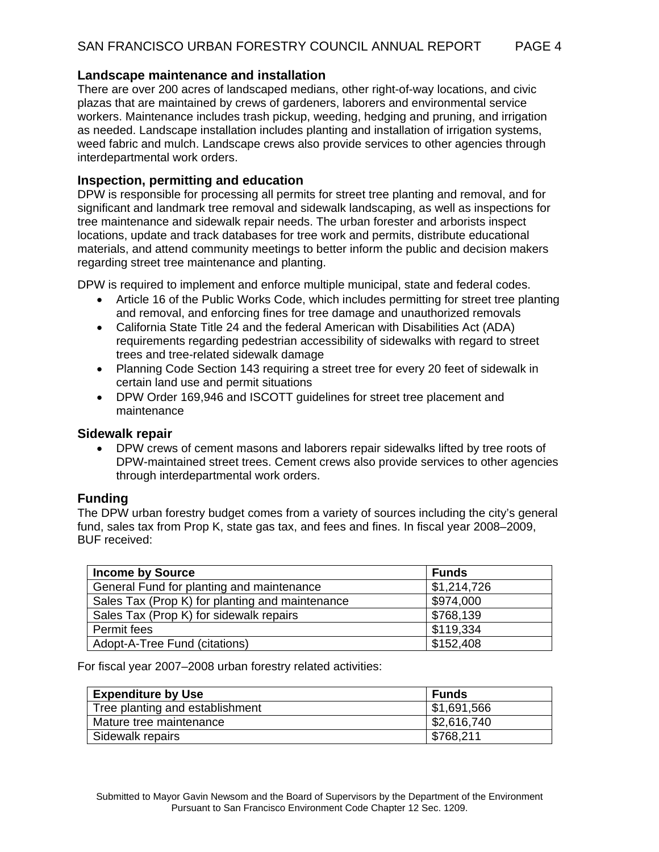## **Landscape maintenance and installation**

There are over 200 acres of landscaped medians, other right-of-way locations, and civic plazas that are maintained by crews of gardeners, laborers and environmental service workers. Maintenance includes trash pickup, weeding, hedging and pruning, and irrigation as needed. Landscape installation includes planting and installation of irrigation systems, weed fabric and mulch. Landscape crews also provide services to other agencies through interdepartmental work orders.

## **Inspection, permitting and education**

DPW is responsible for processing all permits for street tree planting and removal, and for significant and landmark tree removal and sidewalk landscaping, as well as inspections for tree maintenance and sidewalk repair needs. The urban forester and arborists inspect locations, update and track databases for tree work and permits, distribute educational materials, and attend community meetings to better inform the public and decision makers regarding street tree maintenance and planting.

DPW is required to implement and enforce multiple municipal, state and federal codes.

- Article 16 of the Public Works Code, which includes permitting for street tree planting and removal, and enforcing fines for tree damage and unauthorized removals
- California State Title 24 and the federal American with Disabilities Act (ADA) requirements regarding pedestrian accessibility of sidewalks with regard to street trees and tree-related sidewalk damage
- Planning Code Section 143 requiring a street tree for every 20 feet of sidewalk in certain land use and permit situations
- DPW Order 169,946 and ISCOTT guidelines for street tree placement and maintenance

## **Sidewalk repair**

• DPW crews of cement masons and laborers repair sidewalks lifted by tree roots of DPW-maintained street trees. Cement crews also provide services to other agencies through interdepartmental work orders.

## **Funding**

The DPW urban forestry budget comes from a variety of sources including the city's general fund, sales tax from Prop K, state gas tax, and fees and fines. In fiscal year 2008–2009, BUF received:

| <b>Income by Source</b>                         | <b>Funds</b> |
|-------------------------------------------------|--------------|
| General Fund for planting and maintenance       | \$1,214,726  |
| Sales Tax (Prop K) for planting and maintenance | \$974,000    |
| Sales Tax (Prop K) for sidewalk repairs         | \$768,139    |
| Permit fees                                     | \$119,334    |
| Adopt-A-Tree Fund (citations)                   | \$152,408    |

For fiscal year 2007–2008 urban forestry related activities:

| <b>Expenditure by Use</b>       | Funds       |
|---------------------------------|-------------|
| Tree planting and establishment | \$1,691,566 |
| Mature tree maintenance         | \$2,616,740 |
| Sidewalk repairs                | \$768,211   |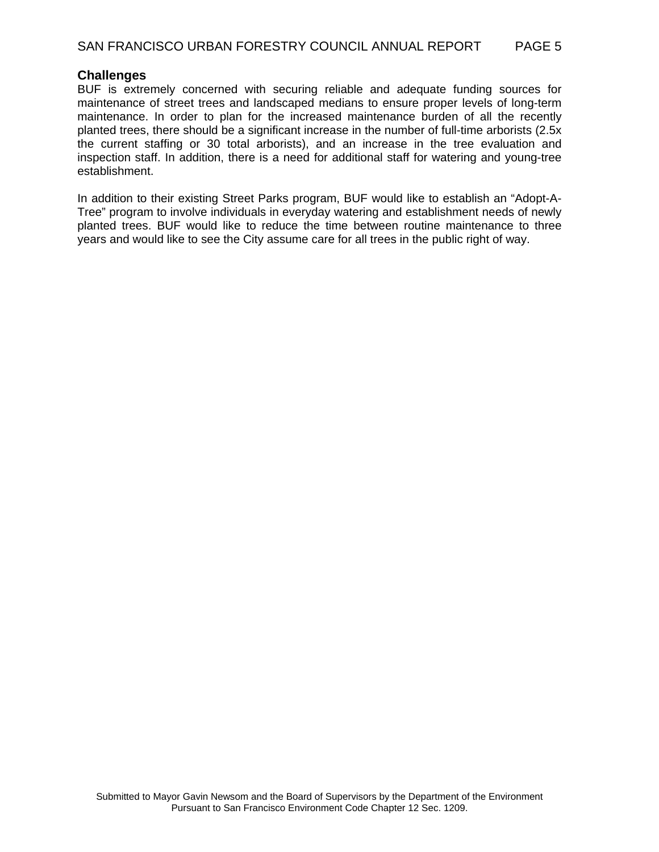#### **Challenges**

BUF is extremely concerned with securing reliable and adequate funding sources for maintenance of street trees and landscaped medians to ensure proper levels of long-term maintenance. In order to plan for the increased maintenance burden of all the recently planted trees, there should be a significant increase in the number of full-time arborists (2.5x the current staffing or 30 total arborists), and an increase in the tree evaluation and inspection staff. In addition, there is a need for additional staff for watering and young-tree establishment.

In addition to their existing Street Parks program, BUF would like to establish an "Adopt-A-Tree" program to involve individuals in everyday watering and establishment needs of newly planted trees. BUF would like to reduce the time between routine maintenance to three years and would like to see the City assume care for all trees in the public right of way.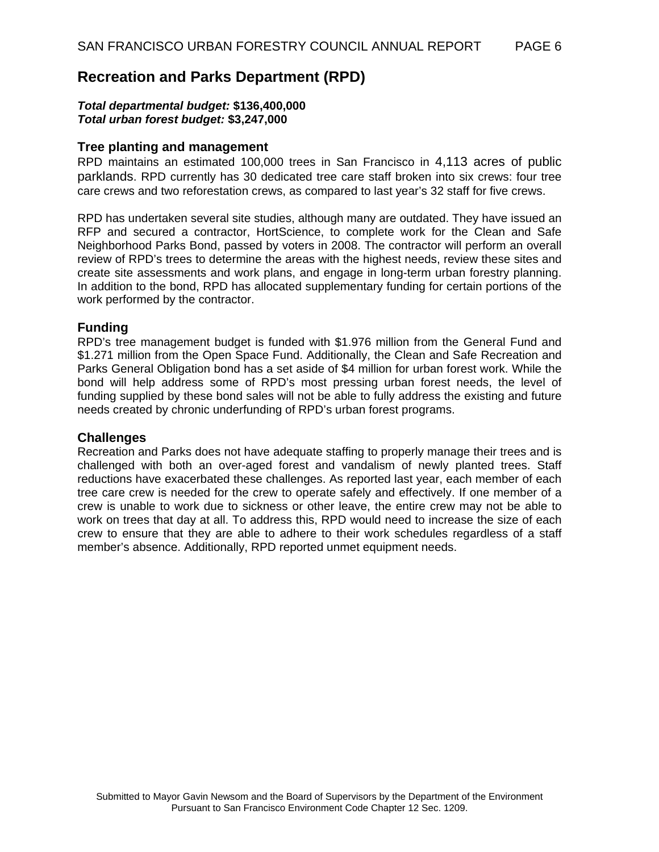## **Recreation and Parks Department (RPD)**

#### *Total departmental budget:* **\$136,400,000**  *Total urban forest budget:* **\$3,247,000**

### **Tree planting and management**

RPD maintains an estimated 100,000 trees in San Francisco in 4,113 acres of public parklands. RPD currently has 30 dedicated tree care staff broken into six crews: four tree care crews and two reforestation crews, as compared to last year's 32 staff for five crews.

RPD has undertaken several site studies, although many are outdated. They have issued an RFP and secured a contractor, HortScience, to complete work for the Clean and Safe Neighborhood Parks Bond, passed by voters in 2008. The contractor will perform an overall review of RPD's trees to determine the areas with the highest needs, review these sites and create site assessments and work plans, and engage in long-term urban forestry planning. In addition to the bond, RPD has allocated supplementary funding for certain portions of the work performed by the contractor.

#### **Funding**

RPD's tree management budget is funded with \$1.976 million from the General Fund and \$1.271 million from the Open Space Fund. Additionally, the Clean and Safe Recreation and Parks General Obligation bond has a set aside of \$4 million for urban forest work. While the bond will help address some of RPD's most pressing urban forest needs, the level of funding supplied by these bond sales will not be able to fully address the existing and future needs created by chronic underfunding of RPD's urban forest programs.

#### **Challenges**

Recreation and Parks does not have adequate staffing to properly manage their trees and is challenged with both an over-aged forest and vandalism of newly planted trees. Staff reductions have exacerbated these challenges. As reported last year, each member of each tree care crew is needed for the crew to operate safely and effectively. If one member of a crew is unable to work due to sickness or other leave, the entire crew may not be able to work on trees that day at all. To address this, RPD would need to increase the size of each crew to ensure that they are able to adhere to their work schedules regardless of a staff member's absence. Additionally, RPD reported unmet equipment needs.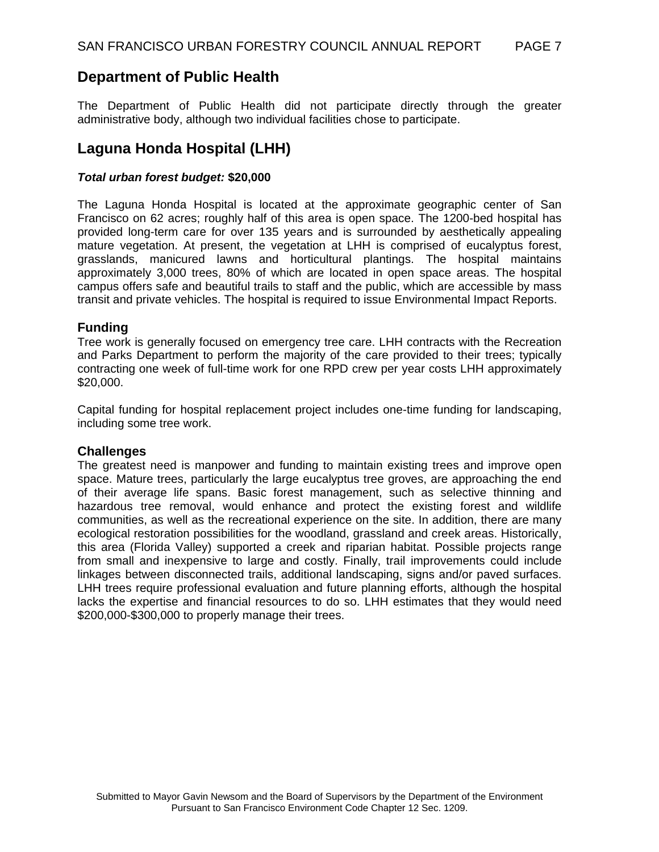## **Department of Public Health**

The Department of Public Health did not participate directly through the greater administrative body, although two individual facilities chose to participate.

## **Laguna Honda Hospital (LHH)**

## *Total urban forest budget:* **\$20,000**

The Laguna Honda Hospital is located at the approximate geographic center of San Francisco on 62 acres; roughly half of this area is open space. The 1200-bed hospital has provided long-term care for over 135 years and is surrounded by aesthetically appealing mature vegetation. At present, the vegetation at LHH is comprised of eucalyptus forest, grasslands, manicured lawns and horticultural plantings. The hospital maintains approximately 3,000 trees, 80% of which are located in open space areas. The hospital campus offers safe and beautiful trails to staff and the public, which are accessible by mass transit and private vehicles. The hospital is required to issue Environmental Impact Reports.

## **Funding**

Tree work is generally focused on emergency tree care. LHH contracts with the Recreation and Parks Department to perform the majority of the care provided to their trees; typically contracting one week of full-time work for one RPD crew per year costs LHH approximately \$20,000.

Capital funding for hospital replacement project includes one-time funding for landscaping, including some tree work.

## **Challenges**

The greatest need is manpower and funding to maintain existing trees and improve open space. Mature trees, particularly the large eucalyptus tree groves, are approaching the end of their average life spans. Basic forest management, such as selective thinning and hazardous tree removal, would enhance and protect the existing forest and wildlife communities, as well as the recreational experience on the site. In addition, there are many ecological restoration possibilities for the woodland, grassland and creek areas. Historically, this area (Florida Valley) supported a creek and riparian habitat. Possible projects range from small and inexpensive to large and costly. Finally, trail improvements could include linkages between disconnected trails, additional landscaping, signs and/or paved surfaces. LHH trees require professional evaluation and future planning efforts, although the hospital lacks the expertise and financial resources to do so. LHH estimates that they would need \$200,000-\$300,000 to properly manage their trees.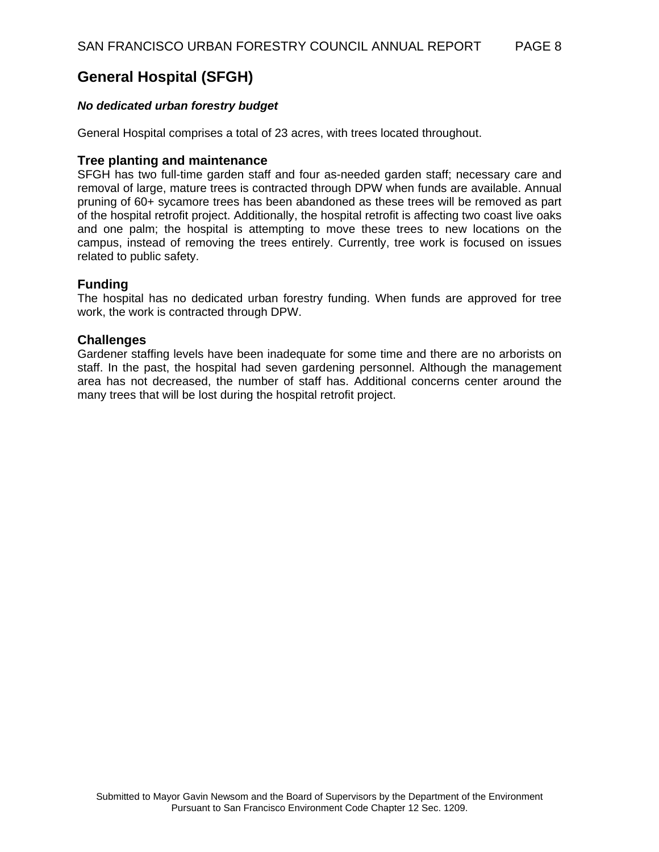## **General Hospital (SFGH)**

### *No dedicated urban forestry budget*

General Hospital comprises a total of 23 acres, with trees located throughout.

#### **Tree planting and maintenance**

SFGH has two full-time garden staff and four as-needed garden staff; necessary care and removal of large, mature trees is contracted through DPW when funds are available. Annual pruning of 60+ sycamore trees has been abandoned as these trees will be removed as part of the hospital retrofit project. Additionally, the hospital retrofit is affecting two coast live oaks and one palm; the hospital is attempting to move these trees to new locations on the campus, instead of removing the trees entirely. Currently, tree work is focused on issues related to public safety.

#### **Funding**

The hospital has no dedicated urban forestry funding. When funds are approved for tree work, the work is contracted through DPW.

#### **Challenges**

Gardener staffing levels have been inadequate for some time and there are no arborists on staff. In the past, the hospital had seven gardening personnel. Although the management area has not decreased, the number of staff has. Additional concerns center around the many trees that will be lost during the hospital retrofit project.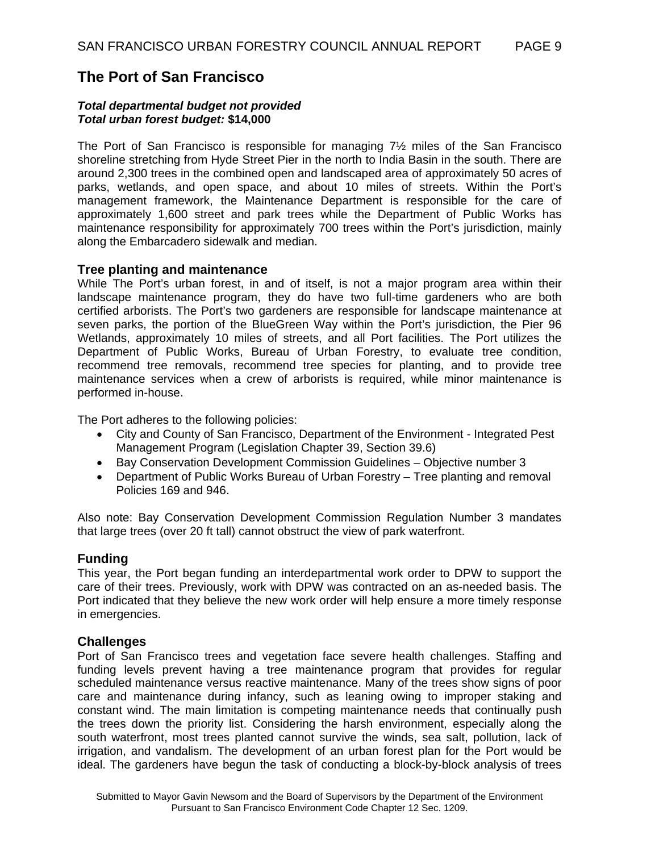## **The Port of San Francisco**

#### *Total departmental budget not provided Total urban forest budget:* **\$14,000**

The Port of San Francisco is responsible for managing 7½ miles of the San Francisco shoreline stretching from Hyde Street Pier in the north to India Basin in the south. There are around 2,300 trees in the combined open and landscaped area of approximately 50 acres of parks, wetlands, and open space, and about 10 miles of streets. Within the Port's management framework, the Maintenance Department is responsible for the care of approximately 1,600 street and park trees while the Department of Public Works has maintenance responsibility for approximately 700 trees within the Port's jurisdiction, mainly along the Embarcadero sidewalk and median.

#### **Tree planting and maintenance**

While The Port's urban forest, in and of itself, is not a major program area within their landscape maintenance program, they do have two full-time gardeners who are both certified arborists. The Port's two gardeners are responsible for landscape maintenance at seven parks, the portion of the BlueGreen Way within the Port's jurisdiction, the Pier 96 Wetlands, approximately 10 miles of streets, and all Port facilities. The Port utilizes the Department of Public Works, Bureau of Urban Forestry, to evaluate tree condition, recommend tree removals, recommend tree species for planting, and to provide tree maintenance services when a crew of arborists is required, while minor maintenance is performed in-house.

The Port adheres to the following policies:

- City and County of San Francisco, Department of the Environment Integrated Pest Management Program (Legislation Chapter 39, Section 39.6)
- Bay Conservation Development Commission Guidelines Objective number 3
- Department of Public Works Bureau of Urban Forestry Tree planting and removal Policies 169 and 946.

Also note: Bay Conservation Development Commission Regulation Number 3 mandates that large trees (over 20 ft tall) cannot obstruct the view of park waterfront.

## **Funding**

This year, the Port began funding an interdepartmental work order to DPW to support the care of their trees. Previously, work with DPW was contracted on an as-needed basis. The Port indicated that they believe the new work order will help ensure a more timely response in emergencies.

#### **Challenges**

Port of San Francisco trees and vegetation face severe health challenges. Staffing and funding levels prevent having a tree maintenance program that provides for regular scheduled maintenance versus reactive maintenance. Many of the trees show signs of poor care and maintenance during infancy, such as leaning owing to improper staking and constant wind. The main limitation is competing maintenance needs that continually push the trees down the priority list. Considering the harsh environment, especially along the south waterfront, most trees planted cannot survive the winds, sea salt, pollution, lack of irrigation, and vandalism. The development of an urban forest plan for the Port would be ideal. The gardeners have begun the task of conducting a block-by-block analysis of trees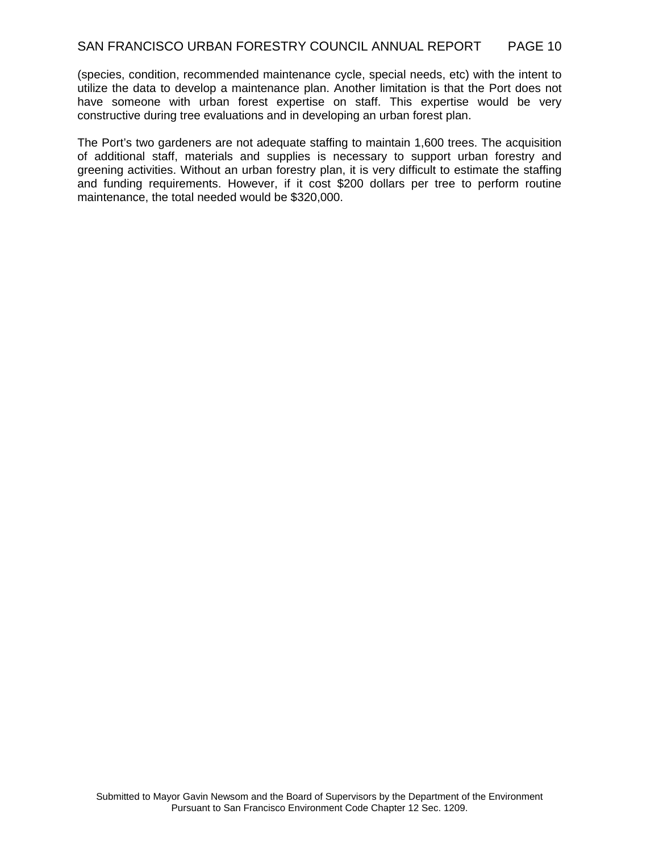(species, condition, recommended maintenance cycle, special needs, etc) with the intent to utilize the data to develop a maintenance plan. Another limitation is that the Port does not have someone with urban forest expertise on staff. This expertise would be very constructive during tree evaluations and in developing an urban forest plan.

The Port's two gardeners are not adequate staffing to maintain 1,600 trees. The acquisition of additional staff, materials and supplies is necessary to support urban forestry and greening activities. Without an urban forestry plan, it is very difficult to estimate the staffing and funding requirements. However, if it cost \$200 dollars per tree to perform routine maintenance, the total needed would be \$320,000.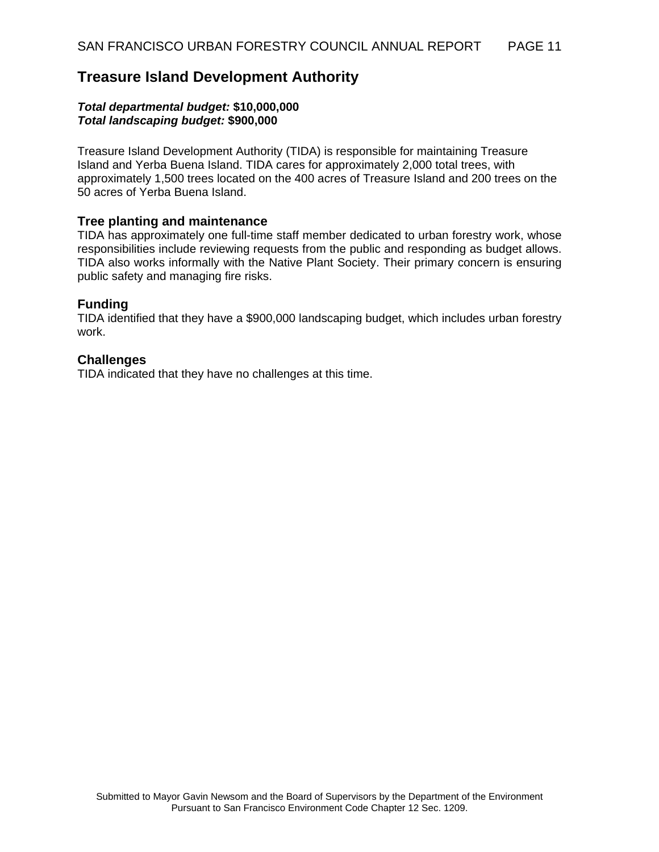## **Treasure Island Development Authority**

#### *Total departmental budget:* **\$10,000,000** *Total landscaping budget:* **\$900,000**

Treasure Island Development Authority (TIDA) is responsible for maintaining Treasure Island and Yerba Buena Island. TIDA cares for approximately 2,000 total trees, with approximately 1,500 trees located on the 400 acres of Treasure Island and 200 trees on the 50 acres of Yerba Buena Island.

## **Tree planting and maintenance**

TIDA has approximately one full-time staff member dedicated to urban forestry work, whose responsibilities include reviewing requests from the public and responding as budget allows. TIDA also works informally with the Native Plant Society. Their primary concern is ensuring public safety and managing fire risks.

## **Funding**

TIDA identified that they have a \$900,000 landscaping budget, which includes urban forestry work.

## **Challenges**

TIDA indicated that they have no challenges at this time.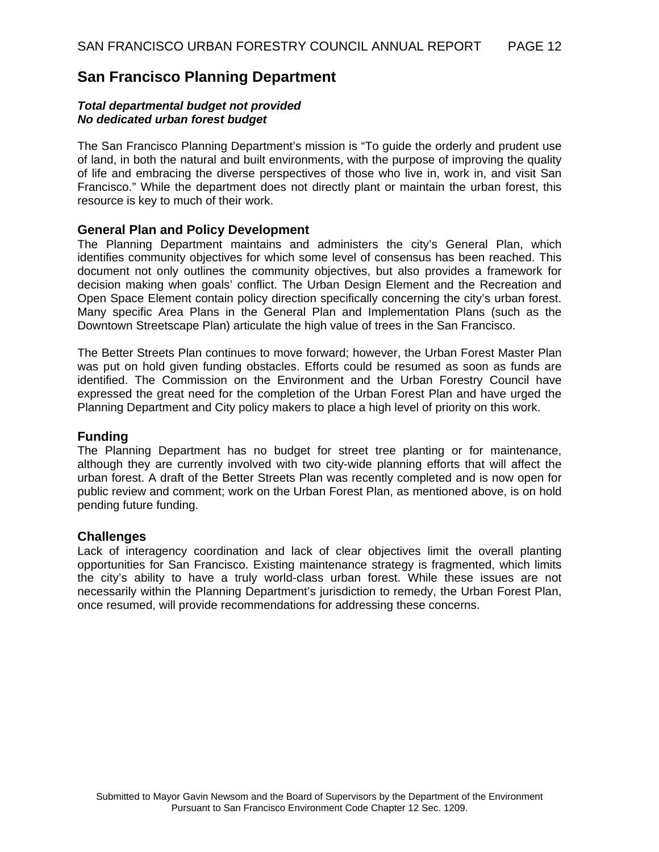## **San Francisco Planning Department**

#### *Total departmental budget not provided No dedicated urban forest budget*

The San Francisco Planning Department's mission is "To guide the orderly and prudent use of land, in both the natural and built environments, with the purpose of improving the quality of life and embracing the diverse perspectives of those who live in, work in, and visit San Francisco." While the department does not directly plant or maintain the urban forest, this resource is key to much of their work.

#### **General Plan and Policy Development**

The Planning Department maintains and administers the city's General Plan, which identifies community objectives for which some level of consensus has been reached. This document not only outlines the community objectives, but also provides a framework for decision making when goals' conflict. The Urban Design Element and the Recreation and Open Space Element contain policy direction specifically concerning the city's urban forest. Many specific Area Plans in the General Plan and Implementation Plans (such as the Downtown Streetscape Plan) articulate the high value of trees in the San Francisco.

The Better Streets Plan continues to move forward; however, the Urban Forest Master Plan was put on hold given funding obstacles. Efforts could be resumed as soon as funds are identified. The Commission on the Environment and the Urban Forestry Council have expressed the great need for the completion of the Urban Forest Plan and have urged the Planning Department and City policy makers to place a high level of priority on this work.

#### **Funding**

The Planning Department has no budget for street tree planting or for maintenance, although they are currently involved with two city-wide planning efforts that will affect the urban forest. A draft of the Better Streets Plan was recently completed and is now open for public review and comment; work on the Urban Forest Plan, as mentioned above, is on hold pending future funding.

#### **Challenges**

Lack of interagency coordination and lack of clear objectives limit the overall planting opportunities for San Francisco. Existing maintenance strategy is fragmented, which limits the city's ability to have a truly world-class urban forest. While these issues are not necessarily within the Planning Department's jurisdiction to remedy, the Urban Forest Plan, once resumed, will provide recommendations for addressing these concerns.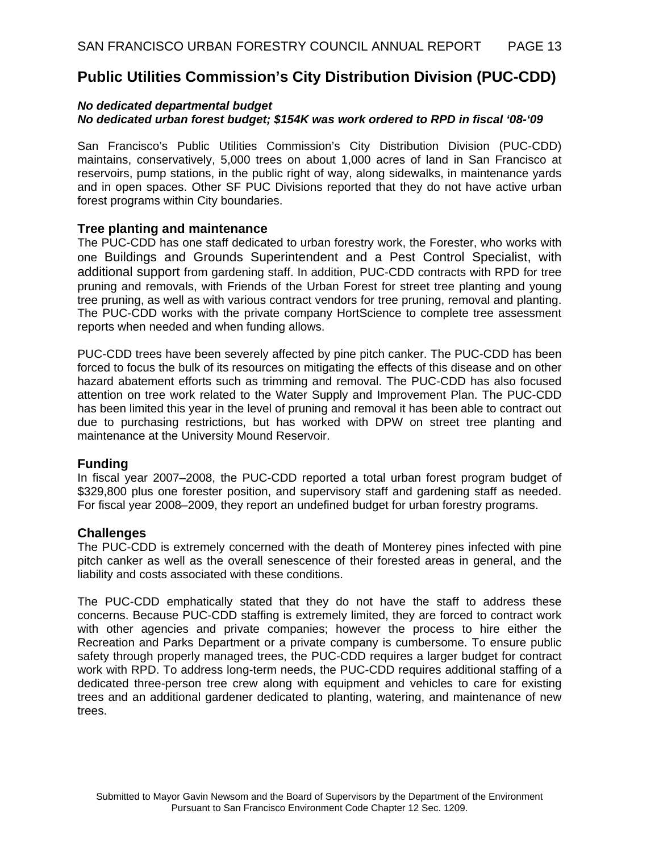## **Public Utilities Commission's City Distribution Division (PUC-CDD)**

### *No dedicated departmental budget No dedicated urban forest budget; \$154K was work ordered to RPD in fiscal '08-'09*

San Francisco's Public Utilities Commission's City Distribution Division (PUC-CDD) maintains, conservatively, 5,000 trees on about 1,000 acres of land in San Francisco at reservoirs, pump stations, in the public right of way, along sidewalks, in maintenance yards and in open spaces. Other SF PUC Divisions reported that they do not have active urban forest programs within City boundaries.

#### **Tree planting and maintenance**

The PUC-CDD has one staff dedicated to urban forestry work, the Forester, who works with one Buildings and Grounds Superintendent and a Pest Control Specialist, with additional support from gardening staff. In addition, PUC-CDD contracts with RPD for tree pruning and removals, with Friends of the Urban Forest for street tree planting and young tree pruning, as well as with various contract vendors for tree pruning, removal and planting. The PUC-CDD works with the private company HortScience to complete tree assessment reports when needed and when funding allows.

PUC-CDD trees have been severely affected by pine pitch canker. The PUC-CDD has been forced to focus the bulk of its resources on mitigating the effects of this disease and on other hazard abatement efforts such as trimming and removal. The PUC-CDD has also focused attention on tree work related to the Water Supply and Improvement Plan. The PUC-CDD has been limited this year in the level of pruning and removal it has been able to contract out due to purchasing restrictions, but has worked with DPW on street tree planting and maintenance at the University Mound Reservoir.

#### **Funding**

In fiscal year 2007–2008, the PUC-CDD reported a total urban forest program budget of \$329,800 plus one forester position, and supervisory staff and gardening staff as needed. For fiscal year 2008–2009, they report an undefined budget for urban forestry programs.

## **Challenges**

The PUC-CDD is extremely concerned with the death of Monterey pines infected with pine pitch canker as well as the overall senescence of their forested areas in general, and the liability and costs associated with these conditions.

The PUC-CDD emphatically stated that they do not have the staff to address these concerns. Because PUC-CDD staffing is extremely limited, they are forced to contract work with other agencies and private companies; however the process to hire either the Recreation and Parks Department or a private company is cumbersome. To ensure public safety through properly managed trees, the PUC-CDD requires a larger budget for contract work with RPD. To address long-term needs, the PUC-CDD requires additional staffing of a dedicated three-person tree crew along with equipment and vehicles to care for existing trees and an additional gardener dedicated to planting, watering, and maintenance of new trees.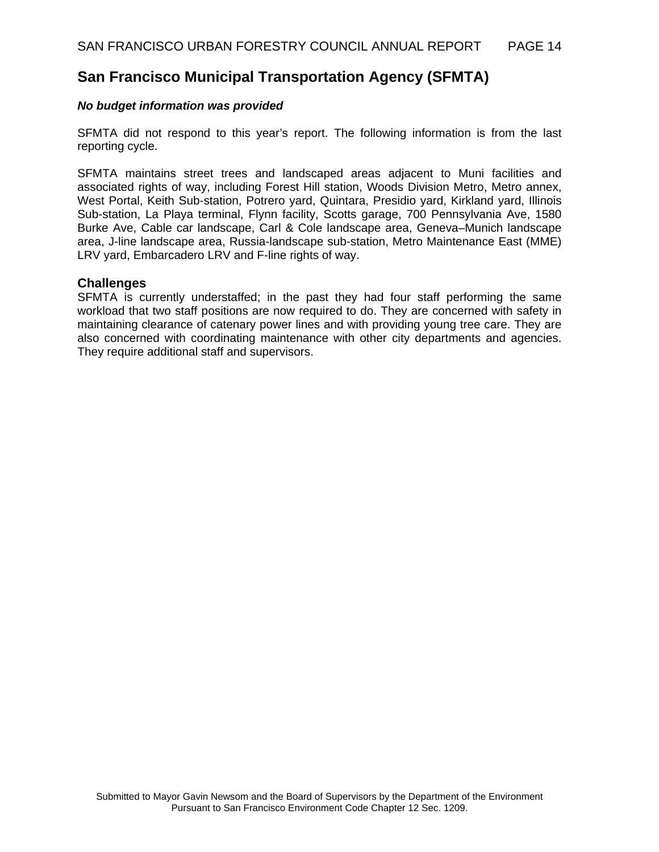## **San Francisco Municipal Transportation Agency (SFMTA)**

#### *No budget information was provided*

SFMTA did not respond to this year's report. The following information is from the last reporting cycle.

SFMTA maintains street trees and landscaped areas adjacent to Muni facilities and associated rights of way, including Forest Hill station, Woods Division Metro, Metro annex, West Portal, Keith Sub-station, Potrero yard, Quintara, Presidio yard, Kirkland yard, Illinois Sub-station, La Playa terminal, Flynn facility, Scotts garage, 700 Pennsylvania Ave, 1580 Burke Ave, Cable car landscape, Carl & Cole landscape area, Geneva–Munich landscape area, J-line landscape area, Russia-landscape sub-station, Metro Maintenance East (MME) LRV yard, Embarcadero LRV and F-line rights of way.

#### **Challenges**

SFMTA is currently understaffed; in the past they had four staff performing the same workload that two staff positions are now required to do. They are concerned with safety in maintaining clearance of catenary power lines and with providing young tree care. They are also concerned with coordinating maintenance with other city departments and agencies. They require additional staff and supervisors.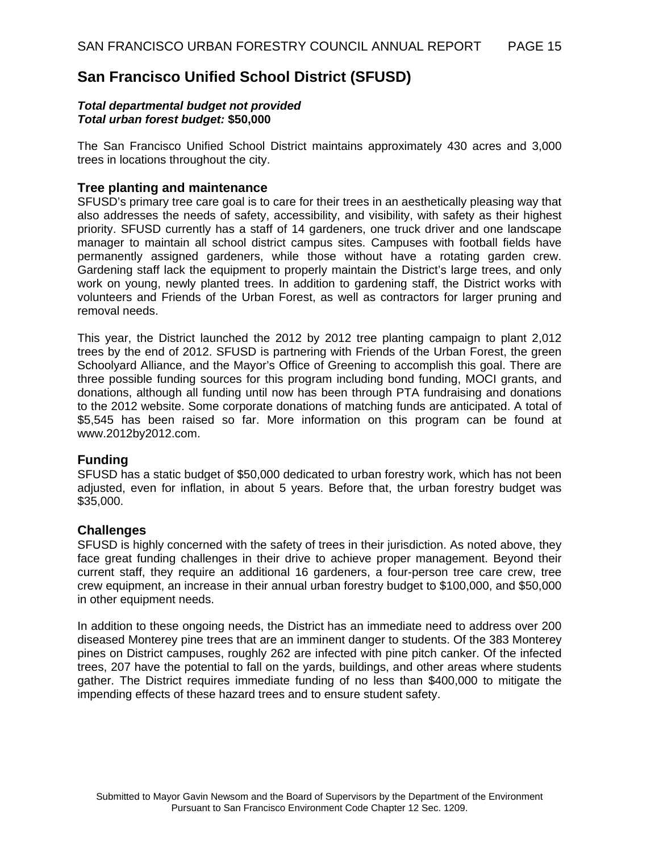## **San Francisco Unified School District (SFUSD)**

#### *Total departmental budget not provided Total urban forest budget:* **\$50,000**

The San Francisco Unified School District maintains approximately 430 acres and 3,000 trees in locations throughout the city.

### **Tree planting and maintenance**

SFUSD's primary tree care goal is to care for their trees in an aesthetically pleasing way that also addresses the needs of safety, accessibility, and visibility, with safety as their highest priority. SFUSD currently has a staff of 14 gardeners, one truck driver and one landscape manager to maintain all school district campus sites. Campuses with football fields have permanently assigned gardeners, while those without have a rotating garden crew. Gardening staff lack the equipment to properly maintain the District's large trees, and only work on young, newly planted trees. In addition to gardening staff, the District works with volunteers and Friends of the Urban Forest, as well as contractors for larger pruning and removal needs.

This year, the District launched the 2012 by 2012 tree planting campaign to plant 2,012 trees by the end of 2012. SFUSD is partnering with Friends of the Urban Forest, the green Schoolyard Alliance, and the Mayor's Office of Greening to accomplish this goal. There are three possible funding sources for this program including bond funding, MOCI grants, and donations, although all funding until now has been through PTA fundraising and donations to the 2012 website. Some corporate donations of matching funds are anticipated. A total of \$5,545 has been raised so far. More information on this program can be found at www.2012by2012.com.

## **Funding**

SFUSD has a static budget of \$50,000 dedicated to urban forestry work, which has not been adjusted, even for inflation, in about 5 years. Before that, the urban forestry budget was \$35,000.

#### **Challenges**

SFUSD is highly concerned with the safety of trees in their jurisdiction. As noted above, they face great funding challenges in their drive to achieve proper management. Beyond their current staff, they require an additional 16 gardeners, a four-person tree care crew, tree crew equipment, an increase in their annual urban forestry budget to \$100,000, and \$50,000 in other equipment needs.

In addition to these ongoing needs, the District has an immediate need to address over 200 diseased Monterey pine trees that are an imminent danger to students. Of the 383 Monterey pines on District campuses, roughly 262 are infected with pine pitch canker. Of the infected trees, 207 have the potential to fall on the yards, buildings, and other areas where students gather. The District requires immediate funding of no less than \$400,000 to mitigate the impending effects of these hazard trees and to ensure student safety.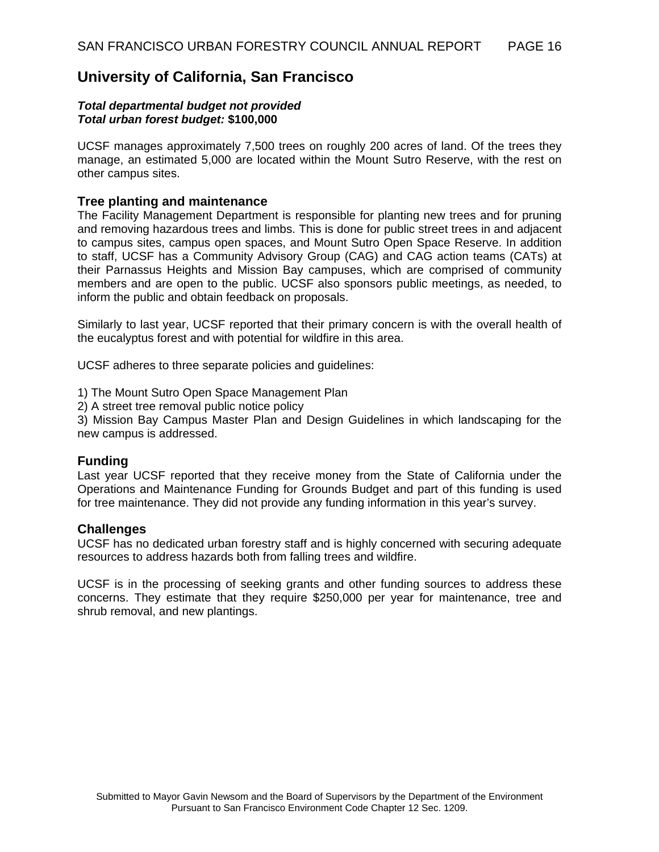## **University of California, San Francisco**

#### *Total departmental budget not provided Total urban forest budget:* **\$100,000**

UCSF manages approximately 7,500 trees on roughly 200 acres of land. Of the trees they manage, an estimated 5,000 are located within the Mount Sutro Reserve, with the rest on other campus sites.

### **Tree planting and maintenance**

The Facility Management Department is responsible for planting new trees and for pruning and removing hazardous trees and limbs. This is done for public street trees in and adjacent to campus sites, campus open spaces, and Mount Sutro Open Space Reserve. In addition to staff, UCSF has a Community Advisory Group (CAG) and CAG action teams (CATs) at their Parnassus Heights and Mission Bay campuses, which are comprised of community members and are open to the public. UCSF also sponsors public meetings, as needed, to inform the public and obtain feedback on proposals.

Similarly to last year, UCSF reported that their primary concern is with the overall health of the eucalyptus forest and with potential for wildfire in this area.

UCSF adheres to three separate policies and guidelines:

1) The Mount Sutro Open Space Management Plan

2) A street tree removal public notice policy

3) Mission Bay Campus Master Plan and Design Guidelines in which landscaping for the new campus is addressed.

#### **Funding**

Last year UCSF reported that they receive money from the State of California under the Operations and Maintenance Funding for Grounds Budget and part of this funding is used for tree maintenance. They did not provide any funding information in this year's survey.

#### **Challenges**

UCSF has no dedicated urban forestry staff and is highly concerned with securing adequate resources to address hazards both from falling trees and wildfire.

UCSF is in the processing of seeking grants and other funding sources to address these concerns. They estimate that they require \$250,000 per year for maintenance, tree and shrub removal, and new plantings.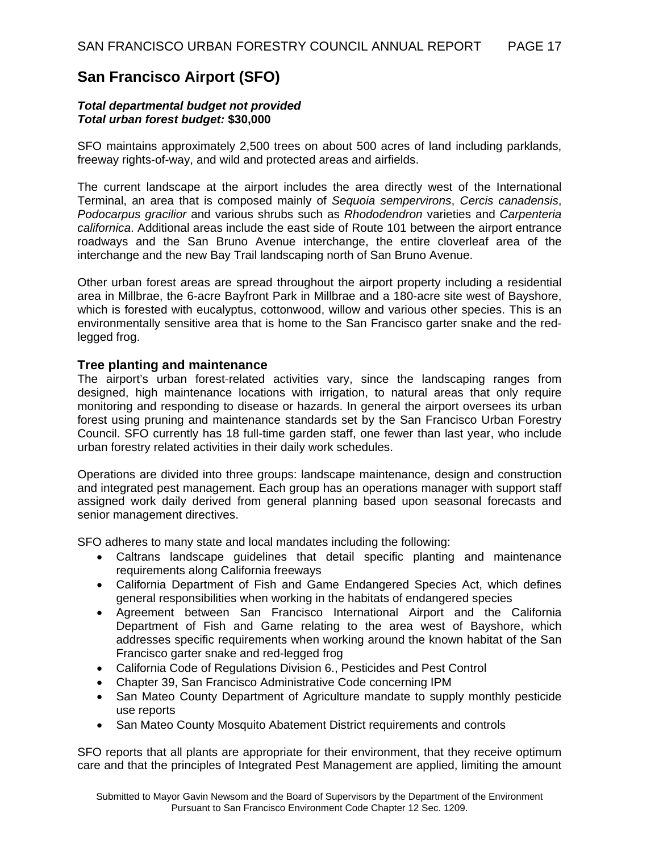## **San Francisco Airport (SFO)**

#### *Total departmental budget not provided Total urban forest budget:* **\$30,000**

SFO maintains approximately 2,500 trees on about 500 acres of land including parklands, freeway rights-of-way, and wild and protected areas and airfields.

The current landscape at the airport includes the area directly west of the International Terminal, an area that is composed mainly of *Sequoia sempervirons*, *Cercis canadensis*, *Podocarpus gracilior* and various shrubs such as *Rhododendron* varieties and *Carpenteria californica*. Additional areas include the east side of Route 101 between the airport entrance roadways and the San Bruno Avenue interchange, the entire cloverleaf area of the interchange and the new Bay Trail landscaping north of San Bruno Avenue.

Other urban forest areas are spread throughout the airport property including a residential area in Millbrae, the 6-acre Bayfront Park in Millbrae and a 180-acre site west of Bayshore, which is forested with eucalyptus, cottonwood, willow and various other species. This is an environmentally sensitive area that is home to the San Francisco garter snake and the redlegged frog.

#### **Tree planting and maintenance**

The airport's urban forest-related activities vary, since the landscaping ranges from designed, high maintenance locations with irrigation, to natural areas that only require monitoring and responding to disease or hazards. In general the airport oversees its urban forest using pruning and maintenance standards set by the San Francisco Urban Forestry Council. SFO currently has 18 full-time garden staff, one fewer than last year, who include urban forestry related activities in their daily work schedules.

Operations are divided into three groups: landscape maintenance, design and construction and integrated pest management. Each group has an operations manager with support staff assigned work daily derived from general planning based upon seasonal forecasts and senior management directives.

SFO adheres to many state and local mandates including the following:

- Caltrans landscape guidelines that detail specific planting and maintenance requirements along California freeways
- California Department of Fish and Game Endangered Species Act, which defines general responsibilities when working in the habitats of endangered species
- Agreement between San Francisco International Airport and the California Department of Fish and Game relating to the area west of Bayshore, which addresses specific requirements when working around the known habitat of the San Francisco garter snake and red-legged frog
- California Code of Regulations Division 6., Pesticides and Pest Control
- Chapter 39, San Francisco Administrative Code concerning IPM
- San Mateo County Department of Agriculture mandate to supply monthly pesticide use reports
- San Mateo County Mosquito Abatement District requirements and controls

SFO reports that all plants are appropriate for their environment, that they receive optimum care and that the principles of Integrated Pest Management are applied, limiting the amount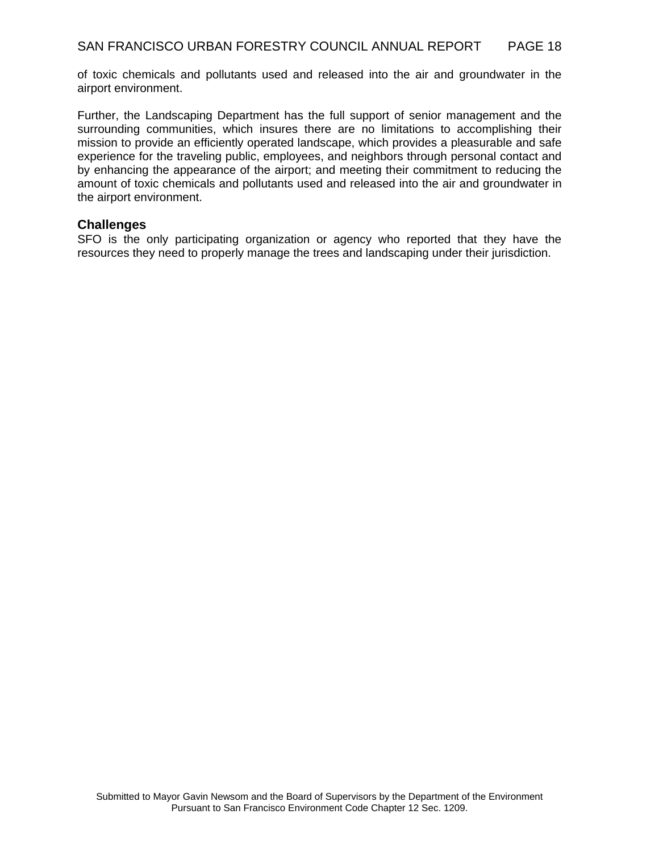of toxic chemicals and pollutants used and released into the air and groundwater in the airport environment.

Further, the Landscaping Department has the full support of senior management and the surrounding communities, which insures there are no limitations to accomplishing their mission to provide an efficiently operated landscape, which provides a pleasurable and safe experience for the traveling public, employees, and neighbors through personal contact and by enhancing the appearance of the airport; and meeting their commitment to reducing the amount of toxic chemicals and pollutants used and released into the air and groundwater in the airport environment.

## **Challenges**

SFO is the only participating organization or agency who reported that they have the resources they need to properly manage the trees and landscaping under their jurisdiction.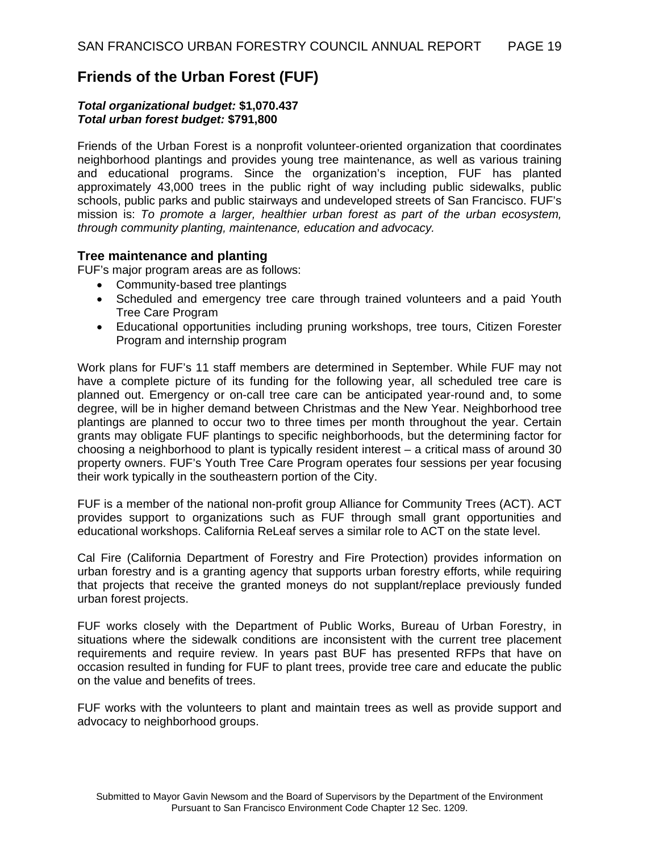## **Friends of the Urban Forest (FUF)**

#### *Total organizational budget:* **\$1,070.437**  *Total urban forest budget:* **\$791,800**

Friends of the Urban Forest is a nonprofit volunteer-oriented organization that coordinates neighborhood plantings and provides young tree maintenance, as well as various training and educational programs. Since the organization's inception, FUF has planted approximately 43,000 trees in the public right of way including public sidewalks, public schools, public parks and public stairways and undeveloped streets of San Francisco. FUF's mission is: *To promote a larger, healthier urban forest as part of the urban ecosystem, through community planting, maintenance, education and advocacy.*

## **Tree maintenance and planting**

FUF's major program areas are as follows:

- Community-based tree plantings
- Scheduled and emergency tree care through trained volunteers and a paid Youth Tree Care Program
- Educational opportunities including pruning workshops, tree tours, Citizen Forester Program and internship program

Work plans for FUF's 11 staff members are determined in September. While FUF may not have a complete picture of its funding for the following year, all scheduled tree care is planned out. Emergency or on-call tree care can be anticipated year-round and, to some degree, will be in higher demand between Christmas and the New Year. Neighborhood tree plantings are planned to occur two to three times per month throughout the year. Certain grants may obligate FUF plantings to specific neighborhoods, but the determining factor for choosing a neighborhood to plant is typically resident interest – a critical mass of around 30 property owners. FUF's Youth Tree Care Program operates four sessions per year focusing their work typically in the southeastern portion of the City.

FUF is a member of the national non-profit group Alliance for Community Trees (ACT). ACT provides support to organizations such as FUF through small grant opportunities and educational workshops. California ReLeaf serves a similar role to ACT on the state level.

Cal Fire (California Department of Forestry and Fire Protection) provides information on urban forestry and is a granting agency that supports urban forestry efforts, while requiring that projects that receive the granted moneys do not supplant/replace previously funded urban forest projects.

FUF works closely with the Department of Public Works, Bureau of Urban Forestry, in situations where the sidewalk conditions are inconsistent with the current tree placement requirements and require review. In years past BUF has presented RFPs that have on occasion resulted in funding for FUF to plant trees, provide tree care and educate the public on the value and benefits of trees.

FUF works with the volunteers to plant and maintain trees as well as provide support and advocacy to neighborhood groups.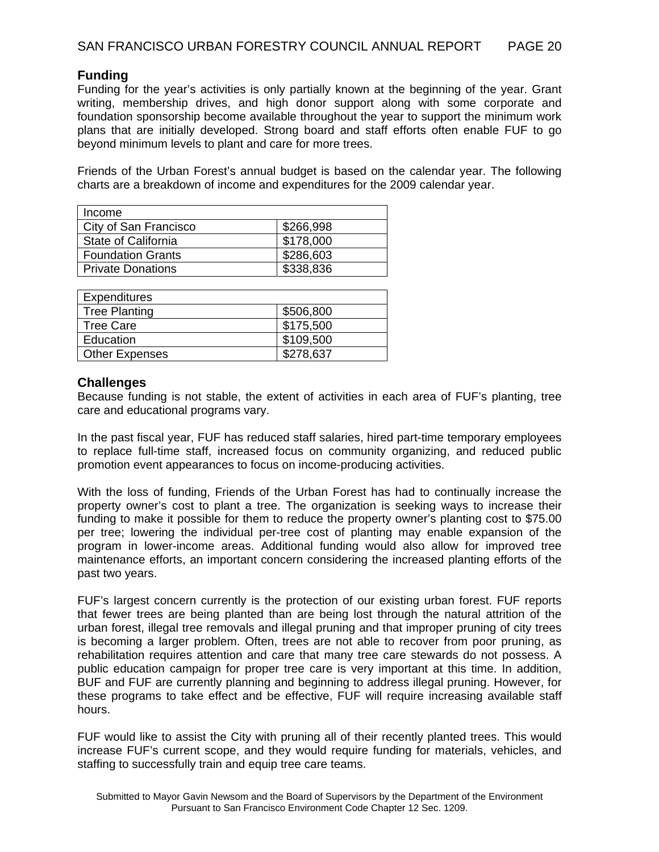## **Funding**

Funding for the year's activities is only partially known at the beginning of the year. Grant writing, membership drives, and high donor support along with some corporate and foundation sponsorship become available throughout the year to support the minimum work plans that are initially developed. Strong board and staff efforts often enable FUF to go beyond minimum levels to plant and care for more trees.

Friends of the Urban Forest's annual budget is based on the calendar year. The following charts are a breakdown of income and expenditures for the 2009 calendar year.

| Income                   |           |
|--------------------------|-----------|
| City of San Francisco    | \$266,998 |
| State of California      | \$178,000 |
| <b>Foundation Grants</b> | \$286,603 |
| <b>Private Donations</b> | \$338,836 |

| Expenditures          |           |
|-----------------------|-----------|
| <b>Tree Planting</b>  | \$506,800 |
| Tree Care             | \$175,500 |
| Education             | \$109,500 |
| <b>Other Expenses</b> | \$278,637 |

## **Challenges**

Because funding is not stable, the extent of activities in each area of FUF's planting, tree care and educational programs vary.

In the past fiscal year, FUF has reduced staff salaries, hired part-time temporary employees to replace full-time staff, increased focus on community organizing, and reduced public promotion event appearances to focus on income-producing activities.

With the loss of funding, Friends of the Urban Forest has had to continually increase the property owner's cost to plant a tree. The organization is seeking ways to increase their funding to make it possible for them to reduce the property owner's planting cost to \$75.00 per tree; lowering the individual per-tree cost of planting may enable expansion of the program in lower-income areas. Additional funding would also allow for improved tree maintenance efforts, an important concern considering the increased planting efforts of the past two years.

FUF's largest concern currently is the protection of our existing urban forest. FUF reports that fewer trees are being planted than are being lost through the natural attrition of the urban forest, illegal tree removals and illegal pruning and that improper pruning of city trees is becoming a larger problem. Often, trees are not able to recover from poor pruning, as rehabilitation requires attention and care that many tree care stewards do not possess. A public education campaign for proper tree care is very important at this time. In addition, BUF and FUF are currently planning and beginning to address illegal pruning. However, for these programs to take effect and be effective, FUF will require increasing available staff hours.

FUF would like to assist the City with pruning all of their recently planted trees. This would increase FUF's current scope, and they would require funding for materials, vehicles, and staffing to successfully train and equip tree care teams.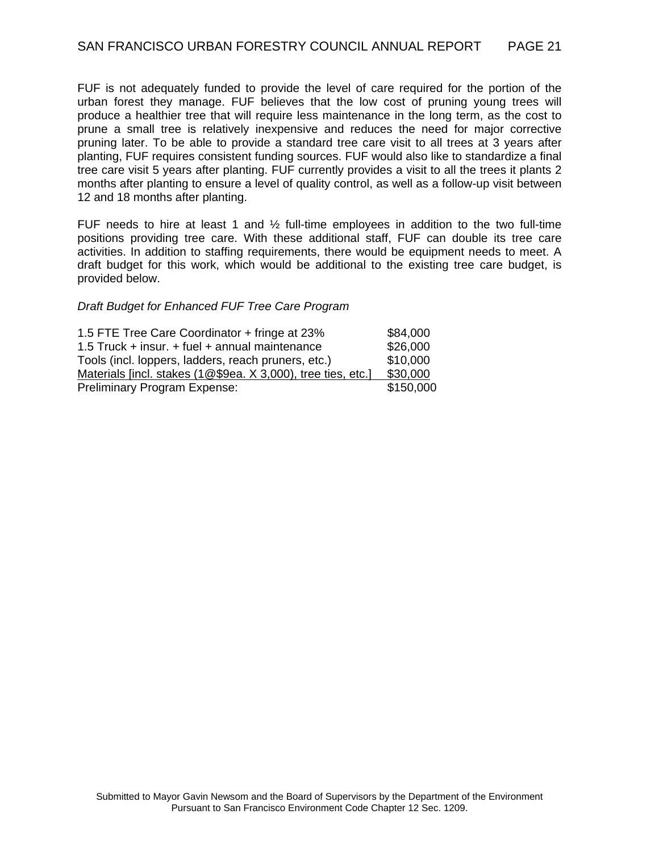FUF is not adequately funded to provide the level of care required for the portion of the urban forest they manage. FUF believes that the low cost of pruning young trees will produce a healthier tree that will require less maintenance in the long term, as the cost to prune a small tree is relatively inexpensive and reduces the need for major corrective pruning later. To be able to provide a standard tree care visit to all trees at 3 years after planting, FUF requires consistent funding sources. FUF would also like to standardize a final tree care visit 5 years after planting. FUF currently provides a visit to all the trees it plants 2 months after planting to ensure a level of quality control, as well as a follow-up visit between 12 and 18 months after planting.

FUF needs to hire at least 1 and  $\frac{1}{2}$  full-time employees in addition to the two full-time positions providing tree care. With these additional staff, FUF can double its tree care activities. In addition to staffing requirements, there would be equipment needs to meet. A draft budget for this work, which would be additional to the existing tree care budget, is provided below.

#### *Draft Budget for Enhanced FUF Tree Care Program*

| 1.5 FTE Tree Care Coordinator + fringe at 23%                | \$84,000  |
|--------------------------------------------------------------|-----------|
| 1.5 Truck + insur. + fuel + annual maintenance               | \$26,000  |
| Tools (incl. loppers, ladders, reach pruners, etc.)          | \$10,000  |
| Materials [incl. stakes (1@\$9ea. X 3,000), tree ties, etc.] | \$30,000  |
| Preliminary Program Expense:                                 | \$150,000 |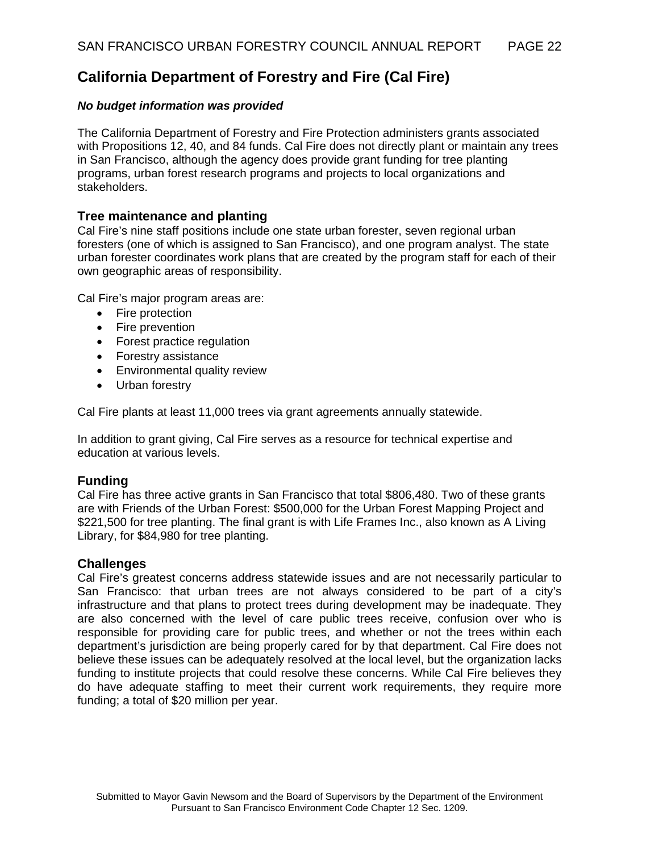## **California Department of Forestry and Fire (Cal Fire)**

## *No budget information was provided*

The California Department of Forestry and Fire Protection administers grants associated with Propositions 12, 40, and 84 funds. Cal Fire does not directly plant or maintain any trees in San Francisco, although the agency does provide grant funding for tree planting programs, urban forest research programs and projects to local organizations and stakeholders.

## **Tree maintenance and planting**

Cal Fire's nine staff positions include one state urban forester, seven regional urban foresters (one of which is assigned to San Francisco), and one program analyst. The state urban forester coordinates work plans that are created by the program staff for each of their own geographic areas of responsibility.

Cal Fire's major program areas are:

- Fire protection
- Fire prevention
- Forest practice regulation
- Forestry assistance
- Environmental quality review
- Urban forestry

Cal Fire plants at least 11,000 trees via grant agreements annually statewide.

In addition to grant giving, Cal Fire serves as a resource for technical expertise and education at various levels.

## **Funding**

Cal Fire has three active grants in San Francisco that total \$806,480. Two of these grants are with Friends of the Urban Forest: \$500,000 for the Urban Forest Mapping Project and \$221,500 for tree planting. The final grant is with Life Frames Inc., also known as A Living Library, for \$84,980 for tree planting.

## **Challenges**

Cal Fire's greatest concerns address statewide issues and are not necessarily particular to San Francisco: that urban trees are not always considered to be part of a city's infrastructure and that plans to protect trees during development may be inadequate. They are also concerned with the level of care public trees receive, confusion over who is responsible for providing care for public trees, and whether or not the trees within each department's jurisdiction are being properly cared for by that department. Cal Fire does not believe these issues can be adequately resolved at the local level, but the organization lacks funding to institute projects that could resolve these concerns. While Cal Fire believes they do have adequate staffing to meet their current work requirements, they require more funding; a total of \$20 million per year.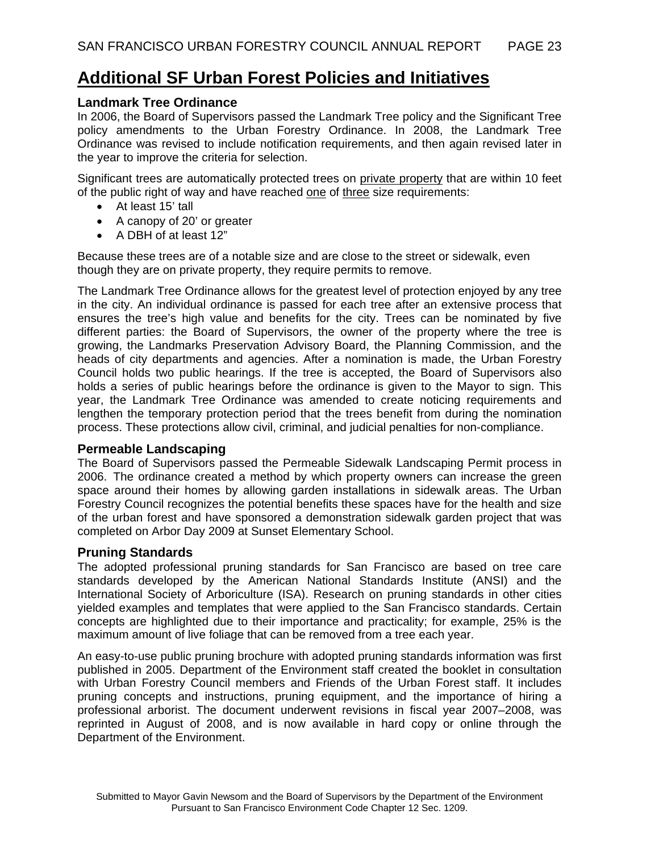# **Additional SF Urban Forest Policies and Initiatives**

## **Landmark Tree Ordinance**

In 2006, the Board of Supervisors passed the Landmark Tree policy and the Significant Tree policy amendments to the Urban Forestry Ordinance. In 2008, the Landmark Tree Ordinance was revised to include notification requirements, and then again revised later in the year to improve the criteria for selection.

Significant trees are automatically protected trees on private property that are within 10 feet of the public right of way and have reached one of three size requirements:

- At least 15' tall
- A canopy of 20' or greater
- A DBH of at least 12"

Because these trees are of a notable size and are close to the street or sidewalk, even though they are on private property, they require permits to remove.

The Landmark Tree Ordinance allows for the greatest level of protection enjoyed by any tree in the city. An individual ordinance is passed for each tree after an extensive process that ensures the tree's high value and benefits for the city. Trees can be nominated by five different parties: the Board of Supervisors, the owner of the property where the tree is growing, the Landmarks Preservation Advisory Board, the Planning Commission, and the heads of city departments and agencies. After a nomination is made, the Urban Forestry Council holds two public hearings. If the tree is accepted, the Board of Supervisors also holds a series of public hearings before the ordinance is given to the Mayor to sign. This year, the Landmark Tree Ordinance was amended to create noticing requirements and lengthen the temporary protection period that the trees benefit from during the nomination process. These protections allow civil, criminal, and judicial penalties for non-compliance.

## **Permeable Landscaping**

The Board of Supervisors passed the Permeable Sidewalk Landscaping Permit process in 2006. The ordinance created a method by which property owners can increase the green space around their homes by allowing garden installations in sidewalk areas. The Urban Forestry Council recognizes the potential benefits these spaces have for the health and size of the urban forest and have sponsored a demonstration sidewalk garden project that was completed on Arbor Day 2009 at Sunset Elementary School.

## **Pruning Standards**

The adopted professional pruning standards for San Francisco are based on tree care standards developed by the American National Standards Institute (ANSI) and the International Society of Arboriculture (ISA). Research on pruning standards in other cities yielded examples and templates that were applied to the San Francisco standards. Certain concepts are highlighted due to their importance and practicality; for example, 25% is the maximum amount of live foliage that can be removed from a tree each year.

An easy-to-use public pruning brochure with adopted pruning standards information was first published in 2005. Department of the Environment staff created the booklet in consultation with Urban Forestry Council members and Friends of the Urban Forest staff. It includes pruning concepts and instructions, pruning equipment, and the importance of hiring a professional arborist. The document underwent revisions in fiscal year 2007–2008, was reprinted in August of 2008, and is now available in hard copy or online through the Department of the Environment.